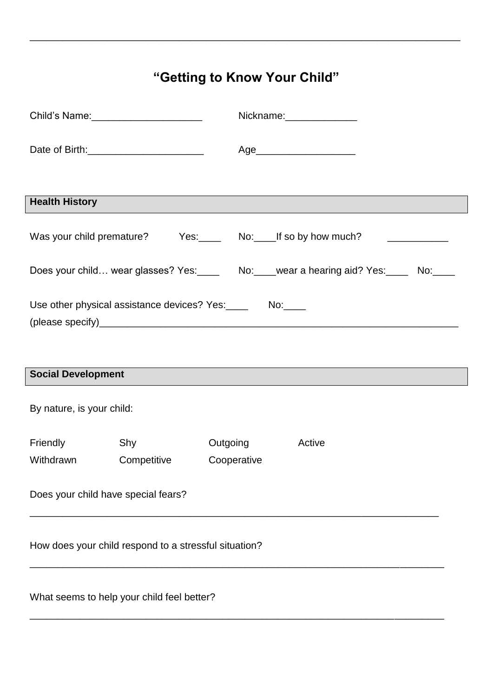## **"Getting to Know Your Child"**

\_\_\_\_\_\_\_\_\_\_\_\_\_\_\_\_\_\_\_\_\_\_\_\_\_\_\_\_\_\_\_\_\_\_\_\_\_\_\_\_\_\_\_\_\_\_\_\_\_\_\_\_\_\_\_\_\_\_\_\_\_\_\_\_\_\_\_\_\_\_\_\_\_\_\_\_\_\_

|                                                       |                                                              |             | Nickname: Nickname: |                                                                                       |  |  |
|-------------------------------------------------------|--------------------------------------------------------------|-------------|---------------------|---------------------------------------------------------------------------------------|--|--|
|                                                       |                                                              |             |                     | Age_________________________                                                          |  |  |
|                                                       |                                                              |             |                     |                                                                                       |  |  |
| <b>Health History</b>                                 |                                                              |             |                     |                                                                                       |  |  |
|                                                       |                                                              |             |                     | Was your child premature? Yes: No: If so by how much?                                 |  |  |
|                                                       |                                                              |             |                     | Does your child wear glasses? Yes:______ No:____wear a hearing aid? Yes:_____ No:____ |  |  |
|                                                       | Use other physical assistance devices? Yes: _______ No: ____ |             |                     |                                                                                       |  |  |
|                                                       |                                                              |             |                     |                                                                                       |  |  |
|                                                       |                                                              |             |                     |                                                                                       |  |  |
| <b>Social Development</b>                             |                                                              |             |                     |                                                                                       |  |  |
| By nature, is your child:                             |                                                              |             |                     |                                                                                       |  |  |
| Friendly                                              | Shy                                                          |             | Outgoing            | Active                                                                                |  |  |
| Withdrawn                                             | Competitive                                                  | Cooperative |                     |                                                                                       |  |  |
| Does your child have special fears?                   |                                                              |             |                     |                                                                                       |  |  |
| How does your child respond to a stressful situation? |                                                              |             |                     |                                                                                       |  |  |
| What seems to help your child feel better?            |                                                              |             |                     |                                                                                       |  |  |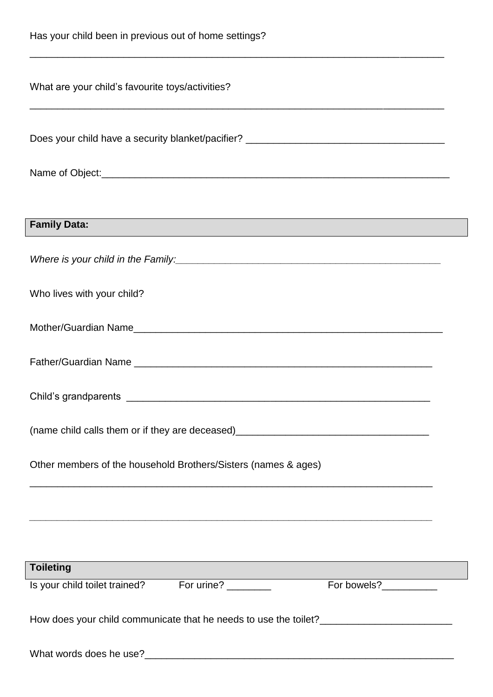|  |  |  | Has your child been in previous out of home settings? |  |
|--|--|--|-------------------------------------------------------|--|
|--|--|--|-------------------------------------------------------|--|

| What are your child's favourite toys/activities?                                                                                          |  |  |  |  |  |
|-------------------------------------------------------------------------------------------------------------------------------------------|--|--|--|--|--|
| Does your child have a security blanket/pacifier? _______________________________                                                         |  |  |  |  |  |
|                                                                                                                                           |  |  |  |  |  |
|                                                                                                                                           |  |  |  |  |  |
| <b>Family Data:</b>                                                                                                                       |  |  |  |  |  |
|                                                                                                                                           |  |  |  |  |  |
| Who lives with your child?                                                                                                                |  |  |  |  |  |
|                                                                                                                                           |  |  |  |  |  |
|                                                                                                                                           |  |  |  |  |  |
|                                                                                                                                           |  |  |  |  |  |
| (name child calls them or if they are deceased)                                                                                           |  |  |  |  |  |
| Other members of the household Brothers/Sisters (names & ages)                                                                            |  |  |  |  |  |
| ,我们也不能在这里的时候,我们也不能在这里的时候,我们也不能会在这里的时候,我们也不能会在这里的时候,我们也不能会在这里的时候,我们也不能会在这里的时候,我们也                                                          |  |  |  |  |  |
|                                                                                                                                           |  |  |  |  |  |
| <u> 1989 - Johann Stoff, deutscher Stoffen und der Stoffen und der Stoffen und der Stoffen und der Stoffen und de</u><br><b>Toileting</b> |  |  |  |  |  |
| For bowels?___________                                                                                                                    |  |  |  |  |  |
| How does your child communicate that he needs to use the toilet? ______________________                                                   |  |  |  |  |  |
|                                                                                                                                           |  |  |  |  |  |

\_\_\_\_\_\_\_\_\_\_\_\_\_\_\_\_\_\_\_\_\_\_\_\_\_\_\_\_\_\_\_\_\_\_\_\_\_\_\_\_\_\_\_\_\_\_\_\_\_\_\_\_\_\_\_\_\_\_\_\_\_\_\_\_\_\_\_\_\_\_\_\_\_\_\_